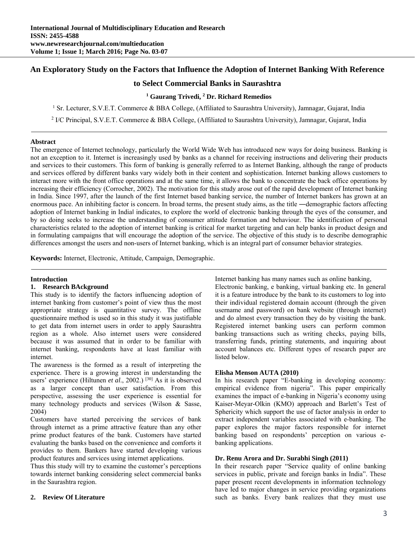# **An Exploratory Study on the Factors that Influence the Adoption of Internet Banking With Reference**

# **to Select Commercial Banks in Saurashtra**

### <sup>1</sup> Gaurang Trivedi, <sup>2</sup> Dr. Richard Remedios

<sup>1</sup> Sr. Lecturer, S.V.E.T. Commerce & BBA College, (Affiliated to Saurashtra University), Jamnagar, Gujarat, India

<sup>2</sup> I/C Principal, S.V.E.T. Commerce & BBA College, (Affiliated to Saurashtra University), Jamnagar, Gujarat, India

## **Abstract**

The emergence of Internet technology, particularly the World Wide Web has introduced new ways for doing business. Banking is not an exception to it. Internet is increasingly used by banks as a channel for receiving instructions and delivering their products and services to their customers. This form of banking is generally referred to as Internet Banking, although the range of products and services offered by different banks vary widely both in their content and sophistication. Internet banking allows customers to interact more with the front office operations and at the same time, it allows the bank to concentrate the back office operations by increasing their efficiency (Corrocher, 2002). The motivation for this study arose out of the rapid development of Internet banking in India. Since 1997, after the launch of the first Internet based banking service, the number of Internet bankers has grown at an enormous pace. An inhibiting factor is concern. In broad terms, the present study aims, as the title ―demographic factors affecting adoption of Internet banking in India‖ indicates, to explore the world of electronic banking through the eyes of the consumer, and by so doing seeks to increase the understanding of consumer attitude formation and behaviour. The identification of personal characteristics related to the adoption of internet banking is critical for market targeting and can help banks in product design and in formulating campaigns that will encourage the adoption of the service. The objective of this study is to describe demographic differences amongst the users and non-users of Internet banking, which is an integral part of consumer behavior strategies.

**Keywords:** Internet, Electronic, Attitude, Campaign, Demographic.

#### **Introduction**

#### **1. Research BAckground**

This study is to identify the factors influencing adoption of internet banking from customer's point of view thus the most appropriate strategy is quantitative survey. The offline questionnaire method is used so in this study it was justifiable to get data from internet users in order to apply Saurashtra region as a whole. Also internet users were considered because it was assumed that in order to be familiar with internet banking, respondents have at least familiar with internet.

The awareness is the formed as a result of interpreting the experience. There is a growing interest in understanding the users' experience (Hiltunen *et al.*, 2002.)<sup>[30]</sup> As it is observed as a larger concept than user satisfaction. From this perspective, assessing the user experience is essential for many technology products and services (Wilson & Sasse, 2004)

Customers have started perceiving the services of bank through internet as a prime attractive feature than any other prime product features of the bank. Customers have started evaluating the banks based on the convenience and comforts it provides to them. Bankers have started developing various product features and services using internet applications.

Thus this study will try to examine the customer's perceptions towards internet banking considering select commercial banks in the Saurashtra region.

#### **2. Review Of Literature**

Internet banking has many names such as online banking,

Electronic banking, e banking, virtual banking etc. In general it is a feature introduce by the bank to its customers to log into their individual registered domain account (through the given username and password) on bank website (through internet) and do almost every transaction they do by visiting the bank. Registered internet banking users can perform common banking transactions such as writing checks, paying bills, transferring funds, printing statements, and inquiring about account balances etc. Different types of research paper are listed below.

#### **Elisha Menson AUTA (2010)**

In his research paper "E-banking in developing economy: empirical evidence from nigeria". This paper empirically examines the impact of e-banking in Nigeria's economy using Kaiser-Meyar-Olkin (KMO) approach and Barlett's Test of Sphericity which support the use of factor analysis in order to extract independent variables associated with e-banking. The paper explores the major factors responsible for internet banking based on respondents' perception on various ebanking applications.

### **Dr. Renu Arora and Dr. Surabhi Singh (2011)**

In their research paper "Service quality of online banking services in public, private and foreign banks in India". These paper present recent developments in information technology have led to major changes in service providing organizations such as banks. Every bank realizes that they must use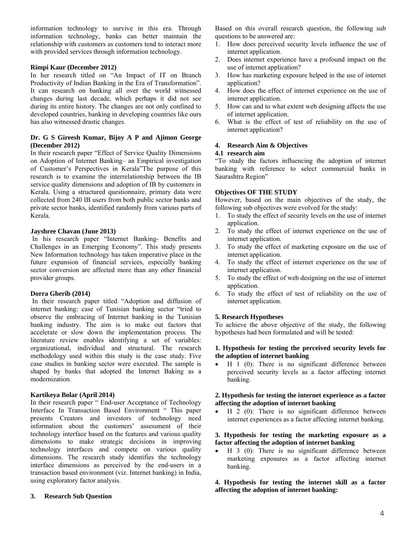information technology to survive in this era. Through information technology, banks can better maintain the relationship with customers as customers tend to interact more with provided services through information technology.

### **Rimpi Kaur (December 2012)**

In her research titled on "An Impact of IT on Branch Productivity of Indian Banking in the Era of Transformation". It can research on banking all over the world witnessed changes during last decade, which perhaps it did not see during its entire history. The changes are not only confined to developed countries, banking in developing countries like ours has also witnessed drastic changes.

## **Dr. G S Gireesh Kumar, Bijoy A P and Ajimon George (December 2012)**

In their research paper "Effect of Service Quality Dimensions on Adoption of Internet Banking– an Empirical investigation of Customer's Perspectives in Kerala"The purpose of this research is to examine the interrelationship between the IB service quality dimensions and adoption of IB by customers in Kerala. Using a structured questionnaire, primary data were collected from 240 IB users from both public sector banks and private sector banks, identified randomly from various parts of Kerala.

#### **Jayshree Chavan (June 2013)**

 In his research paper "Internet Banking- Benefits and Challenges in an Emerging Economy". This study presents New Information technology has taken imperative place in the future expansion of financial services, especially banking sector conversion are affected more than any other financial provider groups.

#### **Dorra Gherib (2014)**

In their research paper titled "Adoption and diffusion of internet banking: case of Tunisian banking sector "tried to observe the embracing of Internet banking in the Tunisian banking industry. The aim is to make out factors that accelerate or slow down the implementation process. The literature review enables identifying a set of variables: organizational, individual and structural. The research methodology used within this study is the case study. Five case studies in banking sector were executed. The sample is shaped by banks that adopted the Internet Baking as a modernization.

## **Kartikeya Bolar (April 2014)**

In their research paper " End-user Acceptance of Technology Interface In Transaction Based Environment " This paper presents Creators and investors of technology need information about the customers' assessment of their technology interface based on the features and various quality dimensions to make strategic decisions in improving technology interfaces and compete on various quality dimensions. The research study identifies the technology interface dimensions as perceived by the end-users in a transaction based environment (viz. Internet banking) in India, using exploratory factor analysis.

#### **3. Research Sub Question**

Based on this overall research question, the following sub questions to be answered are:

- 1. How does perceived security levels influence the use of internet application.
- 2. Does internet experience have a profound impact on the use of internet application?
- 3. How has marketing exposure helped in the use of internet application?
- 4. How does the effect of internet experience on the use of internet application.
- 5. How can and to what extent web designing affects the use of internet application.
- 6. What is the effect of test of reliability on the use of internet application?

## **4. Research Aim & Objectives**

#### **4.1 research aim**

"To study the factors influencing the adoption of internet banking with reference to select commercial banks in Saurashtra Region"

### **Objectives OF THE STUDY**

However, based on the main objectives of the study, the following sub objectives were evolved for the study:

- 1. To study the effect of security levels on the use of internet application.
- 2. To study the effect of internet experience on the use of internet application.
- 3. To study the effect of marketing exposure on the use of internet application.
- 4. To study the effect of internet experience on the use of internet application.
- 5. To study the effect of web designing on the use of internet application.
- 6. To study the effect of test of reliability on the use of internet application.

## **5. Research Hypotheses**

To achieve the above objective of the study, the following hypotheses had been formulated and will be tested:

#### **1. Hypothesis for testing the perceived security levels for the adoption of internet banking**

 $\bullet$  H 1 (0): There is no significant difference between perceived security levels as a factor affecting internet banking.

#### **2. Hypothesis for testing the internet experience as a factor affecting the adoption of internet banking**

 $\bullet$  H 2 (0): There is no significant difference between internet experiences as a factor affecting internet banking.

### **3. Hypothesis for testing the marketing exposure as a factor affecting the adoption of internet banking**

 H 3 (0): There is no significant difference between marketing exposures as a factor affecting internet banking.

**4. Hypothesis for testing the internet skill as a factor affecting the adoption of internet banking:**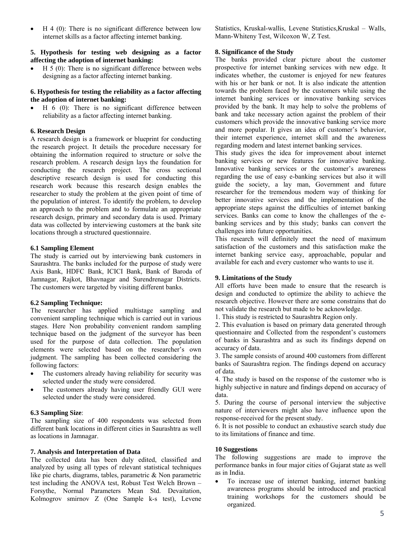• H 4 (0): There is no significant difference between low internet skills as a factor affecting internet banking.

### **5. Hypothesis for testing web designing as a factor affecting the adoption of internet banking:**

 $\bullet$  H 5 (0): There is no significant difference between webs designing as a factor affecting internet banking.

### **6. Hypothesis for testing the reliability as a factor affecting the adoption of internet banking:**

 $\bullet$  H 6 (0): There is no significant difference between reliability as a factor affecting internet banking.

## **6. Research Design**

A research design is a framework or blueprint for conducting the research project. It details the procedure necessary for obtaining the information required to structure or solve the research problem. A research design lays the foundation for conducting the research project. The cross sectional descriptive research design is used for conducting this research work because this research design enables the researcher to study the problem at the given point of time of the population of interest. To identify the problem, to develop an approach to the problem and to formulate an appropriate research design, primary and secondary data is used. Primary data was collected by interviewing customers at the bank site locations through a structured questionnaire.

### **6.1 Sampling Element**

The study is carried out by interviewing bank customers in Saurashtra. The banks included for the purpose of study were Axis Bank, HDFC Bank, ICICI Bank, Bank of Baroda of Jamnagar, Rajkot, Bhavnagar and Surendrenagar Districts. The customers were targeted by visiting different banks.

## **6.2 Sampling Technique:**

The researcher has applied multistage sampling and convenient sampling technique which is carried out in various stages. Here Non probability convenient random sampling technique based on the judgment of the surveyor has been used for the purpose of data collection. The population elements were selected based on the researcher's own judgment. The sampling has been collected considering the following factors:

- The customers already having reliability for security was selected under the study were considered.
- The customers already having user friendly GUI were selected under the study were considered.

## **6.3 Sampling Size**:

The sampling size of 400 respondents was selected from different bank locations in different cities in Saurashtra as well as locations in Jamnagar.

## **7. Analysis and Interpretation of Data**

The collected data has been duly edited, classified and analyzed by using all types of relevant statistical techniques like pie charts, diagrams, tables, parametric & Non parametric test including the ANOVA test, Robust Test Welch Brown – Forsythe, Normal Parameters Mean Std. Devaitation, Kolmogrov smirnov Z (One Sample k-s test), Levene Statistics, Kruskal-wallis, Levene Statistics,Kruskal – Walls, Mann-Whiteny Test, Wilcoxon W, Z Test.

### **8. Significance of the Study**

The banks provided clear picture about the customer prospective for internet banking services with new edge. It indicates whether, the customer is enjoyed for new features with his or her bank or not. It is also indicate the attention towards the problem faced by the customers while using the internet banking services or innovative banking services provided by the bank. It may help to solve the problems of bank and take necessary action against the problem of their customers which provide the innovative banking service more and more popular. It gives an idea of customer's behavior, their internet experience, internet skill and the awareness regarding modern and latest internet banking services.

This study gives the idea for improvement about internet banking services or new features for innovative banking. Innovative banking services or the customer's awareness regarding the use of easy e-banking services but also it will guide the society, a lay man, Government and future researcher for the tremendous modern way of thinking for better innovative services and the implementation of the appropriate steps against the difficulties of internet banking services. Banks can come to know the challenges of the ebanking services and by this study; banks can convert the challenges into future opportunities.

This research will definitely meet the need of maximum satisfaction of the customers and this satisfaction make the internet banking service easy, approachable, popular and available for each and every customer who wants to use it.

## **9. Limitations of the Study**

All efforts have been made to ensure that the research is design and conducted to optimize the ability to achieve the research objective. However there are some constrains that do not validate the research but made to be acknowledge.

1. This study is restricted to Saurashtra Region only.

2. This evaluation is based on primary data generated through questionnaire and Collected from the respondent's customers of banks in Saurashtra and as such its findings depend on accuracy of data.

3. The sample consists of around 400 customers from different banks of Saurashtra region. The findings depend on accuracy of data.

4. The study is based on the response of the customer who is highly subjective in nature and findings depend on accuracy of data.

5. During the course of personal interview the subjective nature of interviewers might also have influence upon the response-received for the present study.

6. It is not possible to conduct an exhaustive search study due to its limitations of finance and time.

## **10 Suggestions**

The following suggestions are made to improve the performance banks in four major cities of Gujarat state as well as in India.

 To increase use of internet banking, internet banking awareness programs should be introduced and practical training workshops for the customers should be organized.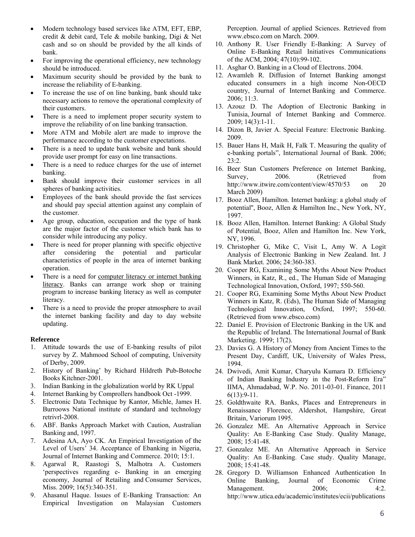- Modern technology based services like ATM, EFT, EBP, credit & debit card, Tele & mobile banking, Digi & Net cash and so on should be provided by the all kinds of bank.
- For improving the operational efficiency, new technology should be introduced.
- Maximum security should be provided by the bank to increase the reliability of E-banking.
- To increase the use of on line banking, bank should take necessary actions to remove the operational complexity of their customers.
- There is a need to implement proper security system to improve the reliability of on line banking transaction.
- More ATM and Mobile alert are made to improve the performance according to the customer expectations.
- There is a need to update bank website and bank should provide user prompt for easy on line transactions.
- There is a need to reduce charges for the use of internet banking.
- Bank should improve their customer services in all spheres of banking activities.
- Employees of the bank should provide the fast services and should pay special attention against any complain of the customer.
- Age group, education, occupation and the type of bank are the major factor of the customer which bank has to consider while introducing any policy.
- There is need for proper planning with specific objective after considering the potential and particular characteristics of people in the area of internet banking operation.
- There is a need for computer literacy or internet banking literacy. Banks can arrange work shop or training program to increase banking literacy as well as computer literacy.
- There is a need to provide the proper atmosphere to avail the internet banking facility and day to day website updating.

#### **Reference**

- 1. Attitude towards the use of E-banking results of pilot survey by Z. Mahmood School of computing, University of Derby, 2009.
- 2. History of Banking' by Richard Hildreth Pub-Botoche Books Kitchner-2001.
- 3. Indian Banking in the globalization world by RK Uppal
- 4. Internet Banking by Comprollers handbook Oct -1999.
- 5. Electronic Data Technique by Kantor, Michle, James H. Burroows National institute of standard and technology retrivrl-2008.
- 6. ABF. Banks Approach Market with Caution, Australian Banking and, 1997.
- 7. Adesina AA, Ayo CK. An Empirical Investigation of the Level of Users' 34. Acceptance of Ebanking in Nigeria, Journal of Internet Banking and Commerce. 2010; 15:1.
- 8. Agarwal R, Raastogi S, Malhotra A. Customers 'perspectives regarding e- Banking in an emerging economy, Journal of Retailing and Consumer Services, Miss. 2009; 16(5):340-351.
- 9. Ahasanul Haque. Issues of E-Banking Transaction: An Empirical Investigation on Malaysian Customers

Perception. Journal of applied Sciences. Retrieved from www.ebsco.com on March. 2009.

- 10. Anthony R. User Friendly E-Banking: A Survey of Online E-Banking Retail Initiatives Communications of the ACM, 2004; 47(10):99-102.
- 11. Asghar O. Banking in a Cloud of Electrons. 2004.
- 12. Awamleh R. Diffusion of Internet Banking amongst educated consumers in a high income Non-OECD country, Journal of Internet Banking and Commerce. 2006; 11:3.
- 13. Azouz D. The Adoption of Electronic Banking in Tunisia, Journal of Internet Banking and Commerce. 2009; 14(3):1-11.
- 14. Dizon B, Javier A. Special Feature: Electronic Banking. 2009.
- 15. Bauer Hans H, Maik H, Falk T. Measuring the quality of e-banking portals", International Journal of Bank. 2006; 23:2.
- 16. Beer Stan Customers Preference on Internet Banking, Survey, 2006. (Retrieved from http://www.itwire.com/content/view/4570/53 on 20 March 2009)
- 17. Booz Allen, Hamilton. Internet banking: a global study of potential'', Booz, Allen & Hamilton Inc., New York, NY, 1997.
- 18. Booz Allen, Hamilton. Internet Banking: A Global Study of Potential, Booz, Allen and Hamilton Inc. New York, NY, 1996.
- 19. Christopher G, Mike C, Visit L, Amy W. A Logit Analysis of Electronic Banking in New Zealand. Int. J Bank Market. 2006; 24:360-383.
- 20. Cooper RG, Examining Some Myths About New Product Winners, in Katz, R., ed., The Human Side of Managing Technological Innovation, Oxford, 1997; 550-560.
- 21. Cooper RG, Examining Some Myths About New Product Winners in Katz, R. (Eds), The Human Side of Managing Technological Innovation, Oxford, 1997; 550-60. (Retrieved from www.ebsco.com)
- 22. Daniel E. Provision of Electronic Banking in the UK and the Republic of Ireland. The International Journal of Bank Marketing. 1999; 17(2).
- 23. Davies G. A History of Money from Ancient Times to the Present Day, Cardiff, UK, University of Wales Press, 1994.
- 24. Dwivedi, Amit Kumar, Charyulu Kumara D. Efficiency of Indian Banking Industry in the Post-Reform Era" IIMA, Ahmadabad, W.P. No. 2011-03-01. Finance, 2011  $6(13):9-11.$
- 25. Goldthwaite RA. Banks, Places and Entrepreneurs in Renaissance Florence, Aldershot, Hampshire, Great Britain, Variorum 1995.
- 26. Gonzalez ME. An Alternative Approach in Service Quality: An E-Banking Case Study. Quality Manage, 2008; 15:41-48.
- 27. Gonzalez ME. An Alternative Approach in Service Quality: An E-Banking. Case study. Quality Manage, 2008; 15:41-48.
- 28. Gregory D. Williamson Enhanced Authentication In Online Banking, Journal of Economic Crime Management. 2006; 4:2. http://www.utica.edu/academic/institutes/ecii/publications